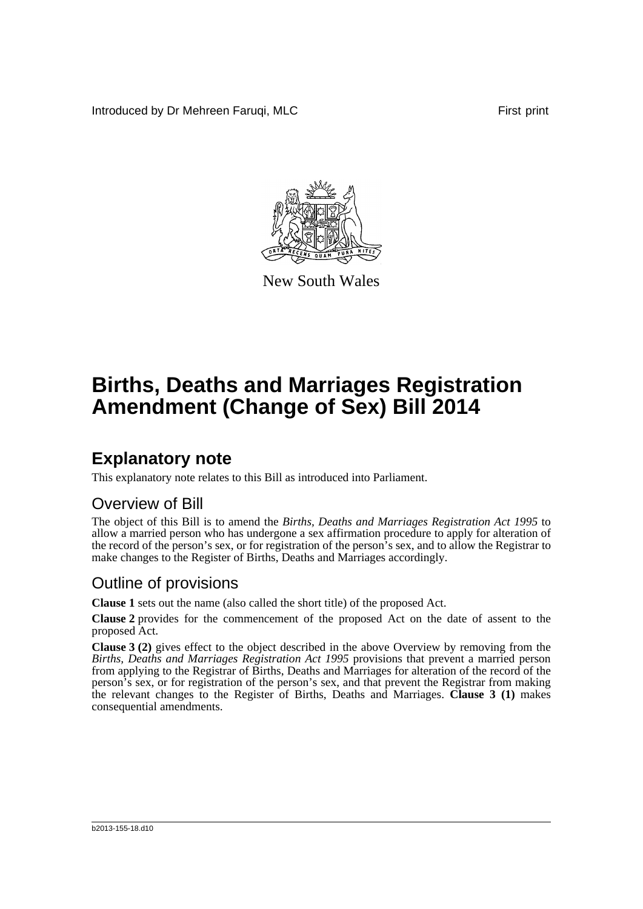Introduced by Dr Mehreen Faruqi, MLC **First print** First print



New South Wales

# **Births, Deaths and Marriages Registration Amendment (Change of Sex) Bill 2014**

## **Explanatory note**

This explanatory note relates to this Bill as introduced into Parliament.

#### Overview of Bill

The object of this Bill is to amend the *Births, Deaths and Marriages Registration Act 1995* to allow a married person who has undergone a sex affirmation procedure to apply for alteration of the record of the person's sex, or for registration of the person's sex, and to allow the Registrar to make changes to the Register of Births, Deaths and Marriages accordingly.

#### Outline of provisions

**Clause 1** sets out the name (also called the short title) of the proposed Act.

**Clause 2** provides for the commencement of the proposed Act on the date of assent to the proposed Act.

**Clause 3 (2)** gives effect to the object described in the above Overview by removing from the *Births, Deaths and Marriages Registration Act 1995* provisions that prevent a married person from applying to the Registrar of Births, Deaths and Marriages for alteration of the record of the person's sex, or for registration of the person's sex, and that prevent the Registrar from making the relevant changes to the Register of Births, Deaths and Marriages. **Clause 3 (1)** makes consequential amendments.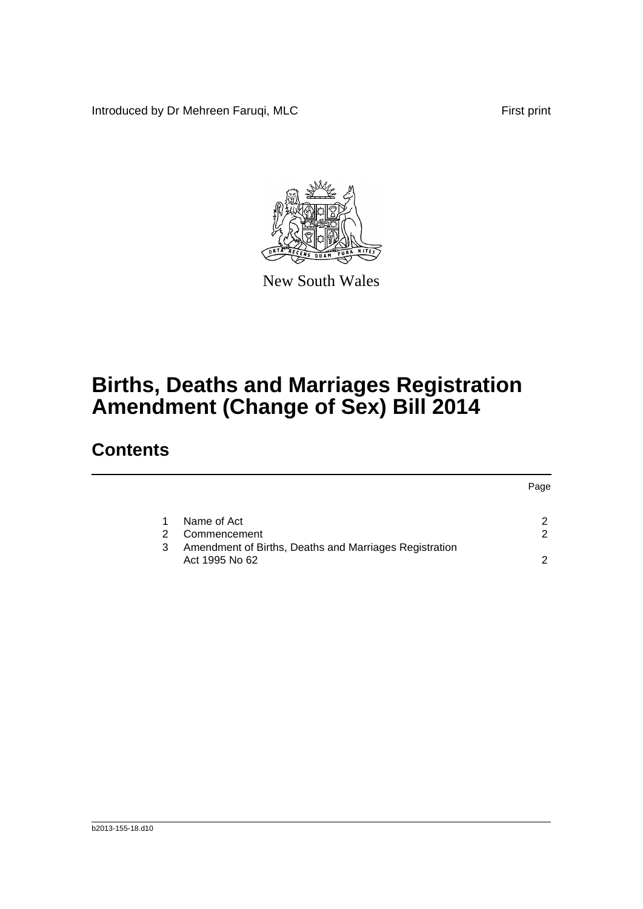Introduced by Dr Mehreen Faruqi, MLC First print



New South Wales

# **Births, Deaths and Marriages Registration Amendment (Change of Sex) Bill 2014**

### **Contents**

|   |                                                                          | Page |
|---|--------------------------------------------------------------------------|------|
|   | Name of Act                                                              | ົ    |
| 2 | Commencement                                                             | ◠    |
| 3 | Amendment of Births, Deaths and Marriages Registration<br>Act 1995 No 62 | n    |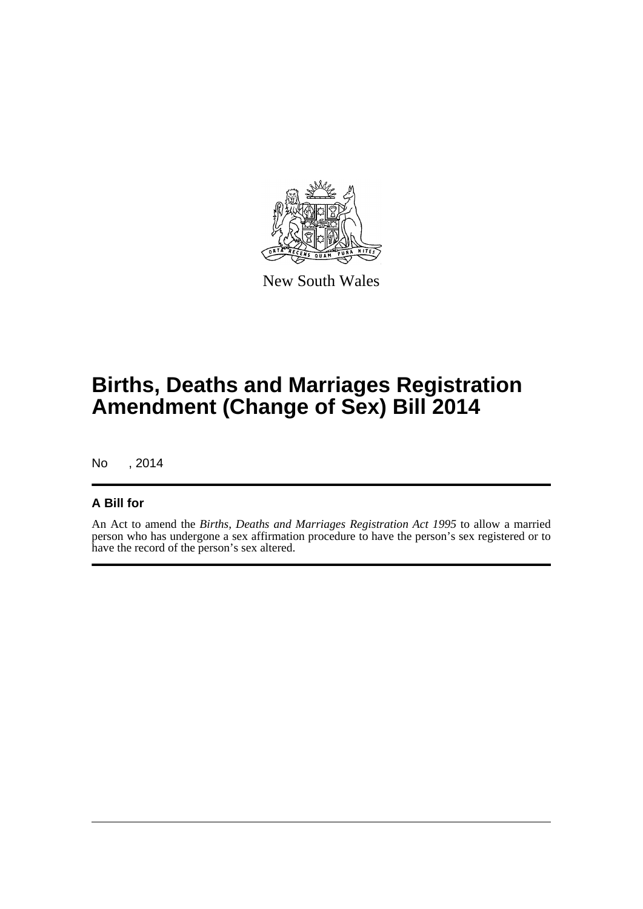

New South Wales

# **Births, Deaths and Marriages Registration Amendment (Change of Sex) Bill 2014**

No , 2014

#### **A Bill for**

An Act to amend the *Births, Deaths and Marriages Registration Act 1995* to allow a married person who has undergone a sex affirmation procedure to have the person's sex registered or to have the record of the person's sex altered.